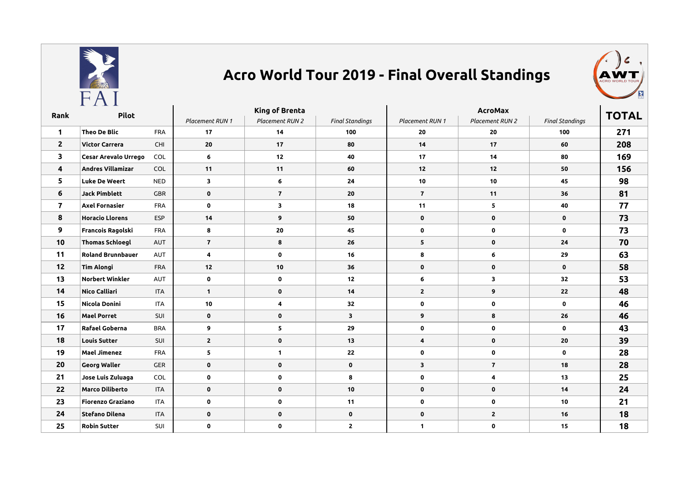

## **Acro World Tour 2019 - Final Overall Standings**



| Rank           | Pilot                    |            | King of Brenta  |                 |                        | <b>AcroMax</b>  |                 |                        |              |
|----------------|--------------------------|------------|-----------------|-----------------|------------------------|-----------------|-----------------|------------------------|--------------|
|                |                          |            | Placement RUN 1 | Placement RUN 2 | <b>Final Standings</b> | Placement RUN 1 | Placement RUN 2 | <b>Final Standings</b> | <b>TOTAL</b> |
| $\mathbf{1}$   | <b>Theo De Blic</b>      | <b>FRA</b> | 17              | 14              | 100                    | 20              | 20              | 100                    | 271          |
| $\overline{2}$ | <b>Victor Carrera</b>    | CHI        | 20              | 17              | 80                     | 14              | 17              | 60                     | 208          |
| 3              | Cesar Arevalo Urrego     | COL        | 6               | 12              | 40                     | 17              | 14              | 80                     | 169          |
| 4              | <b>Andres Villamizar</b> | COL        | 11              | 11              | 60                     | 12              | 12              | 50                     | 156          |
| 5              | <b>Luke De Weert</b>     | <b>NED</b> | 3               | 6               | 24                     | 10              | 10              | 45                     | 98           |
| 6              | <b>Jack Pimblett</b>     | GBR        | $\mathbf 0$     | $\overline{7}$  | 20                     | $\overline{7}$  | 11              | 36                     | 81           |
| $\overline{7}$ | <b>Axel Fornasier</b>    | <b>FRA</b> | $\mathbf 0$     | 3               | 18                     | 11              | 5               | 40                     | 77           |
| 8              | <b>Horacio Llorens</b>   | <b>ESP</b> | 14              | 9               | 50                     | $\mathbf 0$     | $\mathbf 0$     | $\mathbf 0$            | 73           |
| 9              | Francois Ragolski        | <b>FRA</b> | 8               | 20              | 45                     | $\mathbf 0$     | $\mathbf 0$     | $\mathbf 0$            | 73           |
| 10             | <b>Thomas Schloegl</b>   | <b>AUT</b> | $\overline{7}$  | 8               | 26                     | 5               | $\mathbf 0$     | 24                     | 70           |
| 11             | <b>Roland Brunnbauer</b> | AUT        | 4               | $\mathbf 0$     | 16                     | 8               | 6               | 29                     | 63           |
| 12             | <b>Tim Alongi</b>        | <b>FRA</b> | $12$            | 10              | 36                     | $\mathbf 0$     | $\mathbf 0$     | $\mathbf 0$            | 58           |
| 13             | <b>Norbert Winkler</b>   | AUT        | $\mathbf 0$     | $\mathbf 0$     | 12                     | 6               | 3               | 32                     | 53           |
| 14             | Nico Calliari            | <b>ITA</b> | $\mathbf{1}$    | $\mathbf 0$     | 14                     | $\mathbf{2}$    | 9               | 22                     | 48           |
| 15             | Nicola Donini            | <b>ITA</b> | 10              | 4               | 32                     | $\mathbf 0$     | $\mathbf 0$     | $\mathbf 0$            | 46           |
| 16             | <b>Mael Porret</b>       | SUI        | $\mathbf 0$     | $\mathbf 0$     | 3                      | 9               | 8               | 26                     | 46           |
| 17             | Rafael Goberna           | <b>BRA</b> | 9               | 5               | 29                     | 0               | $\mathbf 0$     | $\mathbf 0$            | 43           |
| 18             | <b>Louis Sutter</b>      | SUI        | $\mathbf{2}$    | $\mathbf 0$     | 13                     | 4               | $\mathbf 0$     | 20                     | 39           |
| 19             | <b>Mael Jimenez</b>      | <b>FRA</b> | 5               | $\mathbf{1}$    | 22                     | 0               | $\mathbf 0$     | $\mathbf 0$            | 28           |
| 20             | <b>Georg Waller</b>      | GER        | $\mathbf 0$     | $\mathbf 0$     | $\mathbf 0$            | 3               | $\overline{7}$  | 18                     | 28           |
| 21             | Jose Luis Zuluaga        | COL        | $\mathbf 0$     | $\mathbf 0$     | 8                      | $\mathbf 0$     | 4               | 13                     | 25           |
| 22             | <b>Marco Diliberto</b>   | <b>ITA</b> | $\mathbf 0$     | $\mathbf 0$     | 10                     | $\mathbf 0$     | $\mathbf 0$     | 14                     | 24           |
| 23             | <b>Fiorenzo Graziano</b> | <b>ITA</b> | $\mathbf 0$     | 0               | 11                     | 0               | $\mathbf 0$     | 10                     | 21           |
| 24             | <b>Stefano Dilena</b>    | <b>ITA</b> | $\mathbf 0$     | $\mathbf 0$     | $\mathbf 0$            | 0               | $\mathbf{2}$    | 16                     | 18           |
| 25             | <b>Robin Sutter</b>      | SUI        | 0               | $\mathbf 0$     | $\mathbf{2}$           | $\mathbf{1}$    | $\mathbf 0$     | 15                     | 18           |